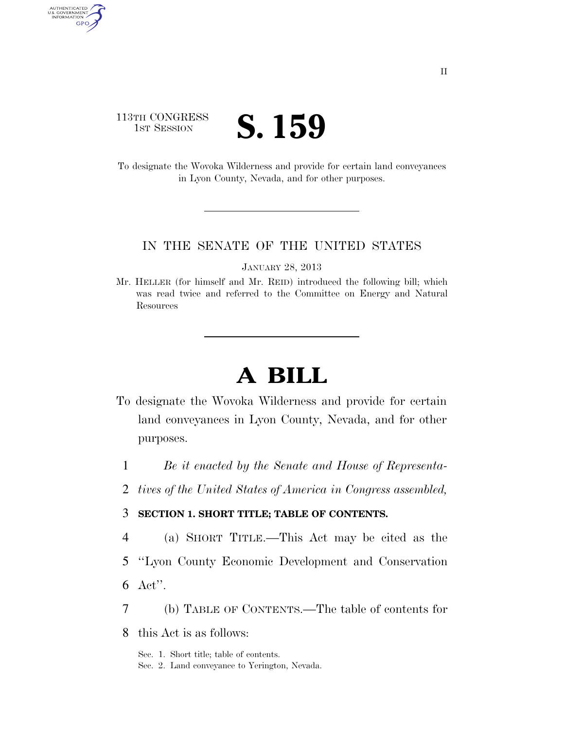## 113TH CONGRESS TH CONGRESS **S. 159**

AUTHENTICATED<br>U.S. GOVERNMENT<br>INFORMATION GPO

> To designate the Wovoka Wilderness and provide for certain land conveyances in Lyon County, Nevada, and for other purposes.

## IN THE SENATE OF THE UNITED STATES

JANUARY 28, 2013

Mr. HELLER (for himself and Mr. REID) introduced the following bill; which was read twice and referred to the Committee on Energy and Natural Resources

## **A BILL**

- To designate the Wovoka Wilderness and provide for certain land conveyances in Lyon County, Nevada, and for other purposes.
	- 1 *Be it enacted by the Senate and House of Representa-*
	- 2 *tives of the United States of America in Congress assembled,*

## 3 **SECTION 1. SHORT TITLE; TABLE OF CONTENTS.**

- 4 (a) SHORT TITLE.—This Act may be cited as the
- 5 ''Lyon County Economic Development and Conservation
- 6 Act''.
- 7 (b) TABLE OF CONTENTS.—The table of contents for
- 8 this Act is as follows:

Sec. 1. Short title; table of contents.

Sec. 2. Land conveyance to Yerington, Nevada.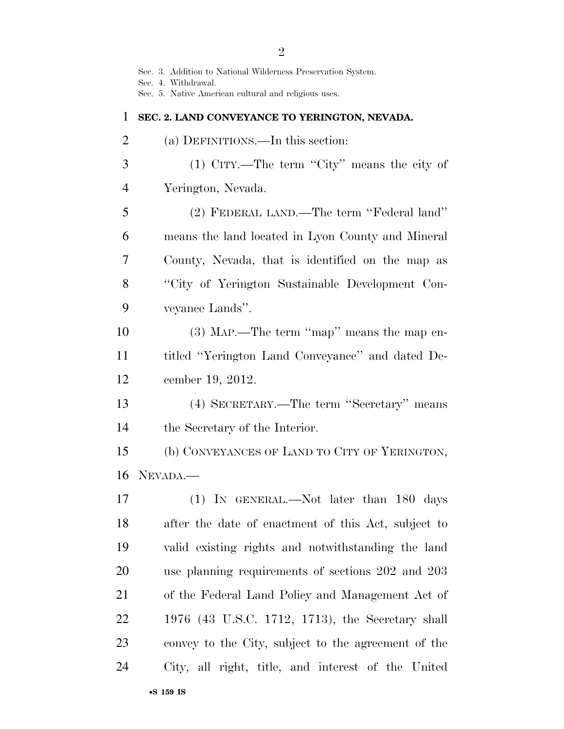Sec. 3. Addition to National Wilderness Preservation System.

Sec. 4. Withdrawal.

Sec. 5. Native American cultural and religious uses.

| 1              | SEC. 2. LAND CONVEYANCE TO YERINGTON, NEVADA.       |
|----------------|-----------------------------------------------------|
| $\overline{2}$ | (a) DEFINITIONS.—In this section:                   |
| 3              | $(1)$ CITY.—The term "City" means the city of       |
| $\overline{4}$ | Yerington, Nevada.                                  |
| 5              | (2) FEDERAL LAND.—The term "Federal land"           |
| 6              | means the land located in Lyon County and Mineral   |
| 7              | County, Nevada, that is identified on the map as    |
| 8              | "City of Yerington Sustainable Development Con-     |
| 9              | veyance Lands".                                     |
| 10             | $(3)$ MAP.—The term "map" means the map en-         |
| 11             | titled "Yerington Land Conveyance" and dated De-    |
| 12             | cember 19, 2012.                                    |
| 13             | (4) SECRETARY.—The term "Secretary" means           |
| 14             | the Secretary of the Interior.                      |
| 15             | (b) CONVEYANCES OF LAND TO CITY OF YERINGTON,       |
| 16             | NEVADA.                                             |
| 17             | (1) IN GENERAL.—Not later than 180 days             |
| 18             | after the date of enactment of this Act, subject to |
| 19             | valid existing rights and notwithstanding the land  |
| 20             | use planning requirements of sections 202 and 203   |
| 21             | of the Federal Land Policy and Management Act of    |
| 22             | 1976 (43 U.S.C. 1712, 1713), the Secretary shall    |
| 23             | convey to the City, subject to the agreement of the |
| 24             | City, all right, title, and interest of the United  |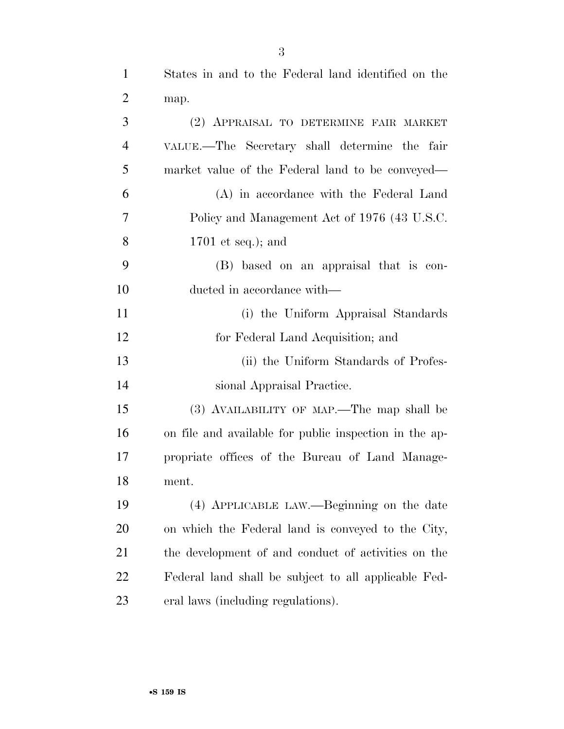States in and to the Federal land identified on the

| $\overline{2}$ | map.                                                   |
|----------------|--------------------------------------------------------|
| 3              | (2) APPRAISAL TO DETERMINE FAIR MARKET                 |
| 4              | VALUE.—The Secretary shall determine the fair          |
| 5              | market value of the Federal land to be conveyed—       |
| 6              | (A) in accordance with the Federal Land                |
| 7              | Policy and Management Act of 1976 (43 U.S.C.           |
| 8              | $1701$ et seq.); and                                   |
| 9              | (B) based on an appraisal that is con-                 |
| 10             | ducted in accordance with—                             |
| 11             | (i) the Uniform Appraisal Standards                    |
| 12             | for Federal Land Acquisition; and                      |
| 13             | (ii) the Uniform Standards of Profes-                  |
| 14             | sional Appraisal Practice.                             |
| 15             | (3) AVAILABILITY OF MAP.—The map shall be              |
| 16             | on file and available for public inspection in the ap- |
| 17             | propriate offices of the Bureau of Land Manage-        |
| 18             | ment.                                                  |
| 19             | (4) APPLICABLE LAW.—Beginning on the date              |
| 20             | on which the Federal land is conveyed to the City,     |
| 21             | the development of and conduct of activities on the    |

 Federal land shall be subject to all applicable Fed-eral laws (including regulations).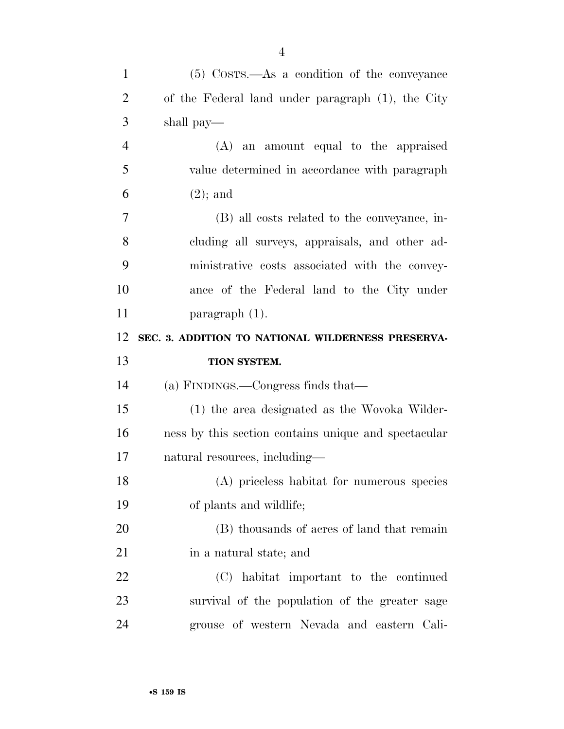| $\mathbf{1}$   | $(5)$ Costs.—As a condition of the conveyance        |
|----------------|------------------------------------------------------|
| $\overline{2}$ | of the Federal land under paragraph (1), the City    |
| 3              | shall pay—                                           |
| $\overline{4}$ | (A) an amount equal to the appraised                 |
| 5              | value determined in accordance with paragraph        |
| 6              | $(2)$ ; and                                          |
| 7              | (B) all costs related to the conveyance, in-         |
| 8              | cluding all surveys, appraisals, and other ad-       |
| 9              | ministrative costs associated with the convey-       |
| 10             | ance of the Federal land to the City under           |
| 11             | $\text{paramph} (1)$ .                               |
| 12             | SEC. 3. ADDITION TO NATIONAL WILDERNESS PRESERVA-    |
|                |                                                      |
| 13             | TION SYSTEM.                                         |
| 14             | (a) FINDINGS.—Congress finds that—                   |
| 15             | (1) the area designated as the Wovoka Wilder-        |
| 16             | ness by this section contains unique and spectacular |
| 17             | natural resources, including—                        |
| 18             | (A) priceless habitat for numerous species           |
| 19             | of plants and wildlife;                              |
| 20             | (B) thousands of acres of land that remain           |
| 21             | in a natural state; and                              |
| 22             | (C) habitat important to the continued               |
| 23             | survival of the population of the greater sage       |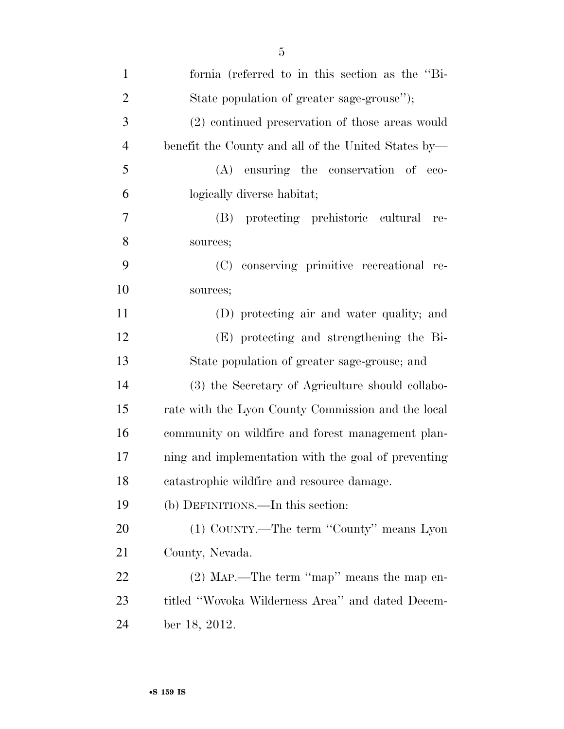| $\mathbf{1}$   | fornia (referred to in this section as the "Bi-     |
|----------------|-----------------------------------------------------|
| $\overline{2}$ | State population of greater sage-grouse");          |
| 3              | (2) continued preservation of those areas would     |
| $\overline{4}$ | benefit the County and all of the United States by- |
| 5              | (A) ensuring the conservation of eco-               |
| 6              | logically diverse habitat;                          |
| 7              | protecting prehistoric cultural<br>(B)<br>re-       |
| 8              | sources;                                            |
| 9              | (C) conserving primitive recreational re-           |
| 10             | sources;                                            |
| 11             | (D) protecting air and water quality; and           |
| 12             | (E) protecting and strengthening the Bi-            |
| 13             | State population of greater sage-grouse; and        |
| 14             | (3) the Secretary of Agriculture should collabo-    |
| 15             | rate with the Lyon County Commission and the local  |
| 16             | community on wildfire and forest management plan-   |
| 17             | ning and implementation with the goal of preventing |
| 18             | catastrophic wildfire and resource damage.          |
| 19             | (b) DEFINITIONS.—In this section:                   |
| 20             | (1) COUNTY.—The term "County" means Lyon            |
| 21             | County, Nevada.                                     |
| 22             | $(2)$ MAP.—The term "map" means the map en-         |
| 23             | titled "Wovoka Wilderness Area" and dated Decem-    |
| 24             | ber 18, 2012.                                       |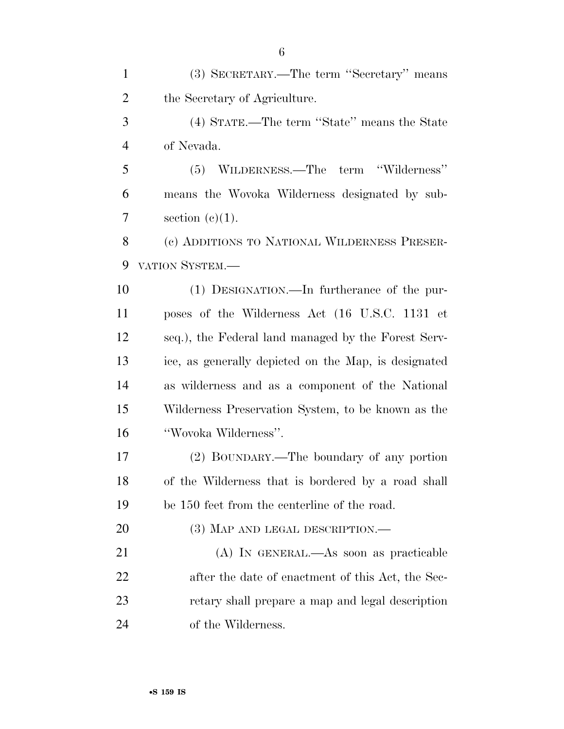(3) SECRETARY.—The term ''Secretary'' means the Secretary of Agriculture. (4) STATE.—The term ''State'' means the State of Nevada. (5) WILDERNESS.—The term ''Wilderness'' means the Wovoka Wilderness designated by sub- $7 \qquad \text{section} \ (\text{e})(1).$  (c) ADDITIONS TO NATIONAL WILDERNESS PRESER- VATION SYSTEM.— (1) DESIGNATION.—In furtherance of the pur- poses of the Wilderness Act (16 U.S.C. 1131 et seq.), the Federal land managed by the Forest Serv- ice, as generally depicted on the Map, is designated as wilderness and as a component of the National Wilderness Preservation System, to be known as the ''Wovoka Wilderness''. (2) BOUNDARY.—The boundary of any portion of the Wilderness that is bordered by a road shall be 150 feet from the centerline of the road. 20 (3) MAP AND LEGAL DESCRIPTION.— (A) IN GENERAL.—As soon as practicable after the date of enactment of this Act, the Sec- retary shall prepare a map and legal description of the Wilderness.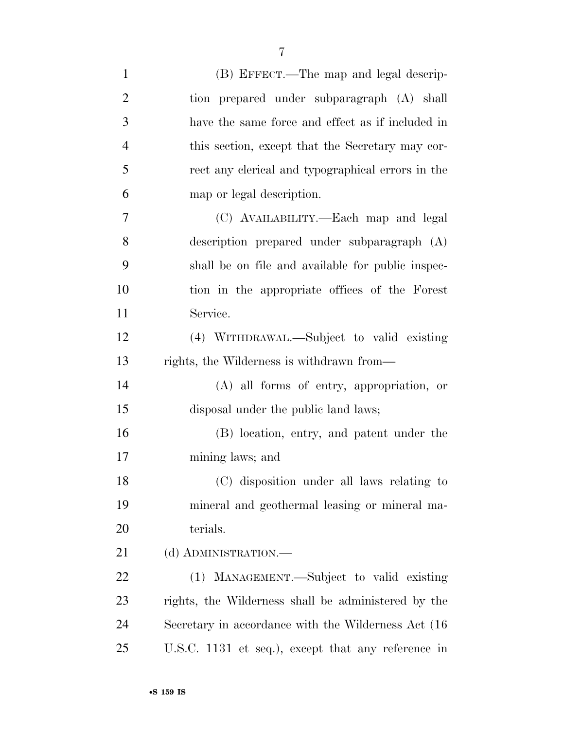| $\mathbf{1}$   | (B) EFFECT.—The map and legal descrip-               |
|----------------|------------------------------------------------------|
| $\overline{2}$ | tion prepared under subparagraph (A) shall           |
| 3              | have the same force and effect as if included in     |
| 4              | this section, except that the Secretary may cor-     |
| 5              | rect any clerical and typographical errors in the    |
| 6              | map or legal description.                            |
| $\overline{7}$ | (C) AVAILABILITY.—Each map and legal                 |
| 8              | description prepared under subparagraph (A)          |
| 9              | shall be on file and available for public inspec-    |
| 10             | tion in the appropriate offices of the Forest        |
| 11             | Service.                                             |
| 12             | (4) WITHDRAWAL.—Subject to valid existing            |
| 13             | rights, the Wilderness is withdrawn from—            |
| 14             | $(A)$ all forms of entry, appropriation, or          |
| 15             | disposal under the public land laws;                 |
| 16             | (B) location, entry, and patent under the            |
| 17             | mining laws; and                                     |
| 18             | (C) disposition under all laws relating to           |
| 19             | mineral and geothermal leasing or mineral ma-        |
| 20             | terials.                                             |
| 21             | (d) ADMINISTRATION.—                                 |
| 22             | (1) MANAGEMENT.—Subject to valid existing            |
| 23             | rights, the Wilderness shall be administered by the  |
| 24             | Secretary in accordance with the Wilderness Act (16) |
| 25             | U.S.C. 1131 et seq.), except that any reference in   |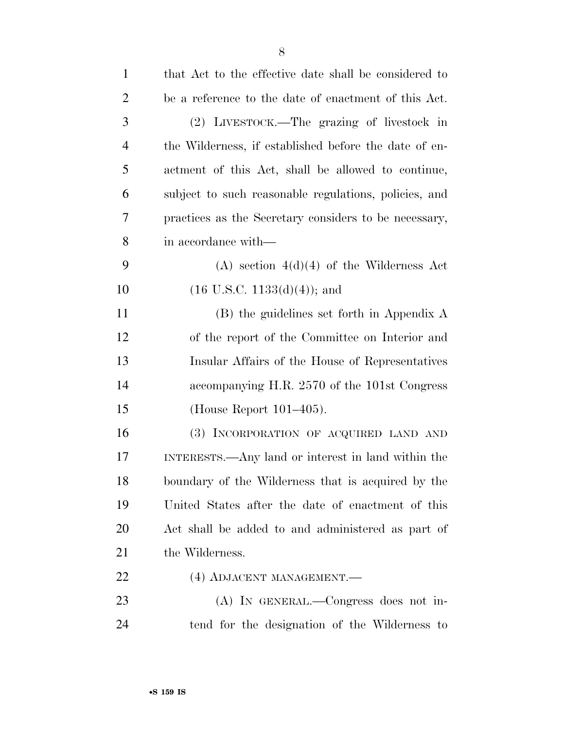| $\mathbf{1}$   | that Act to the effective date shall be considered to |
|----------------|-------------------------------------------------------|
| $\overline{2}$ | be a reference to the date of enactment of this Act.  |
| 3              | (2) LIVESTOCK.—The grazing of livestock in            |
| $\overline{4}$ | the Wilderness, if established before the date of en- |
| 5              | actment of this Act, shall be allowed to continue,    |
| 6              | subject to such reasonable regulations, policies, and |
| 7              | practices as the Secretary considers to be necessary, |
| 8              | in accordance with—                                   |
| 9              | $(A)$ section $4(d)(4)$ of the Wilderness Act         |
| 10             | $(16$ U.S.C. $1133(d)(4)$ ; and                       |
| 11             | (B) the guidelines set forth in Appendix A            |
| 12             | of the report of the Committee on Interior and        |
| 13             | Insular Affairs of the House of Representatives       |
| 14             | accompanying H.R. 2570 of the 101st Congress          |
| 15             | (House Report $101-405$ ).                            |
| 16             | (3) INCORPORATION OF ACQUIRED LAND AND                |
| 17             | INTERESTS.—Any land or interest in land within the    |
| 18             | boundary of the Wilderness that is acquired by the    |
| 19             | United States after the date of enactment of this     |
| 20             | Act shall be added to and administered as part of     |
| 21             | the Wilderness.                                       |
| 22             | (4) ADJACENT MANAGEMENT.                              |
| 23             | $(A)$ In GENERAL.—Congress does not in-               |
| 24             | tend for the designation of the Wilderness to         |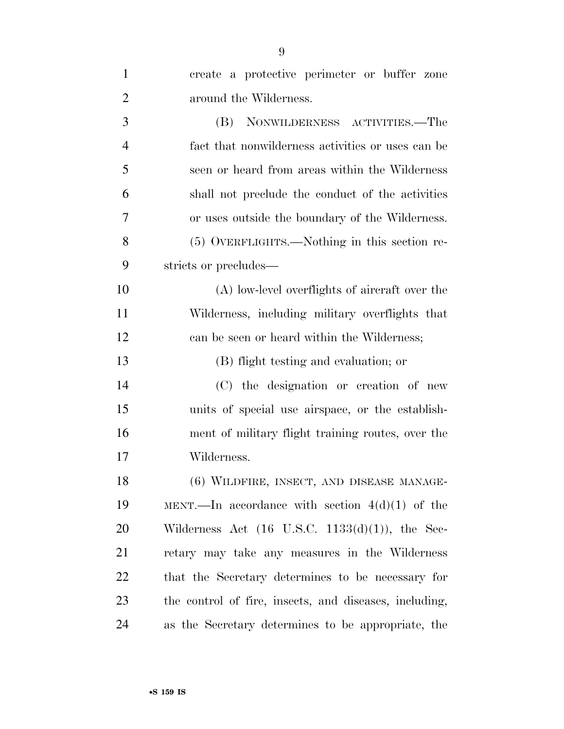| $\mathbf{1}$   | create a protective perimeter or buffer zone               |
|----------------|------------------------------------------------------------|
| $\overline{2}$ | around the Wilderness.                                     |
| 3              | (B) NONWILDERNESS ACTIVITIES.—The                          |
| $\overline{4}$ | fact that nonwilderness activities or uses can be          |
| 5              | seen or heard from areas within the Wilderness             |
| 6              | shall not preclude the conduct of the activities           |
| 7              | or uses outside the boundary of the Wilderness.            |
| 8              | (5) OVERFLIGHTS.—Nothing in this section re-               |
| 9              | stricts or precludes—                                      |
| 10             | (A) low-level overflights of aircraft over the             |
| 11             | Wilderness, including military overflights that            |
| 12             | can be seen or heard within the Wilderness;                |
| 13             | (B) flight testing and evaluation; or                      |
| 14             | (C) the designation or creation of new                     |
| 15             | units of special use airspace, or the establish-           |
| 16             | ment of military flight training routes, over the          |
| 17             | Wilderness.                                                |
| 18             | (6) WILDFIRE, INSECT, AND DISEASE MANAGE-                  |
| 19             | MENT.—In accordance with section $4(d)(1)$ of the          |
| 20             | Wilderness Act $(16 \text{ U.S.C. } 1133(d)(1)),$ the Sec- |
| 21             | retary may take any measures in the Wilderness             |
| 22             | that the Secretary determines to be necessary for          |
| 23             | the control of fire, insects, and diseases, including,     |
| 24             | as the Secretary determines to be appropriate, the         |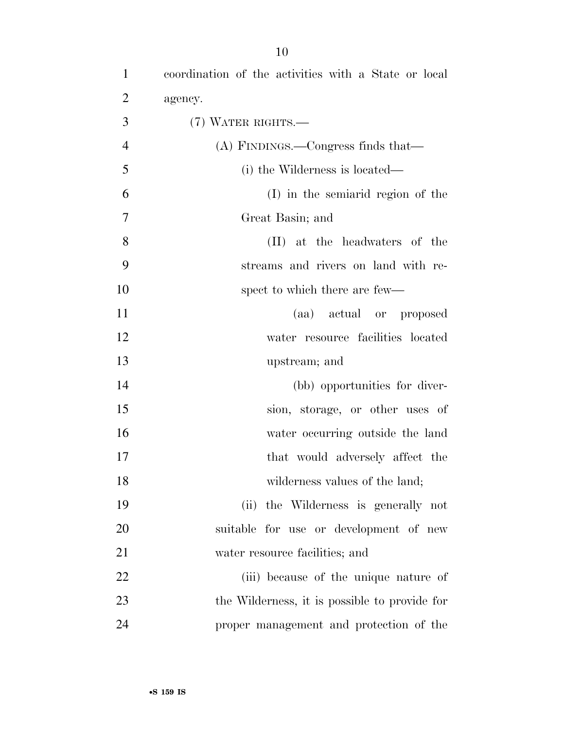| $\mathbf{1}$   | coordination of the activities with a State or local |
|----------------|------------------------------------------------------|
| $\overline{2}$ | agency.                                              |
| 3              | $(7)$ WATER RIGHTS.—                                 |
| $\overline{4}$ | $(A)$ FINDINGS.—Congress finds that—                 |
| 5              | (i) the Wilderness is located—                       |
| 6              | (I) in the semiarid region of the                    |
| $\overline{7}$ | Great Basin; and                                     |
| 8              | (II) at the headwaters of the                        |
| 9              | streams and rivers on land with re-                  |
| 10             | spect to which there are few—                        |
| 11             | (aa) actual or proposed                              |
| 12             | water resource facilities located                    |
| 13             | upstream; and                                        |
| 14             | (bb) opportunities for diver-                        |
| 15             | sion, storage, or other uses of                      |
| 16             | water occurring outside the land                     |
| 17             | that would adversely affect the                      |
| 18             | wilderness values of the land;                       |
| 19             | (ii) the Wilderness is generally not                 |
| 20             | suitable for use or development of new               |
| 21             | water resource facilities; and                       |
| 22             | (iii) because of the unique nature of                |
| 23             | the Wilderness, it is possible to provide for        |
| 24             | proper management and protection of the              |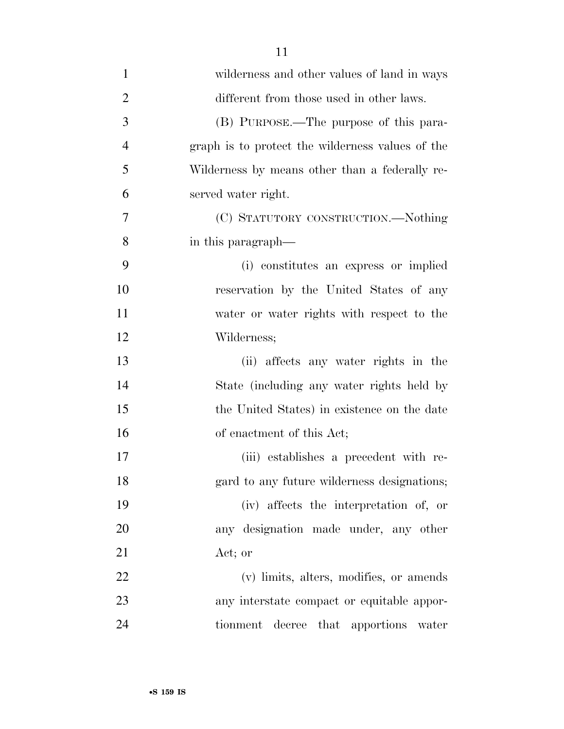| $\mathbf{1}$   | wilderness and other values of land in ways      |
|----------------|--------------------------------------------------|
| $\overline{2}$ | different from those used in other laws.         |
| 3              | (B) PURPOSE.—The purpose of this para-           |
| $\overline{4}$ | graph is to protect the wilderness values of the |
| 5              | Wilderness by means other than a federally re-   |
| 6              | served water right.                              |
| 7              | (C) STATUTORY CONSTRUCTION.—Nothing              |
| 8              | in this paragraph—                               |
| 9              | (i) constitutes an express or implied            |
| 10             | reservation by the United States of any          |
| 11             | water or water rights with respect to the        |
| 12             | Wilderness;                                      |
| 13             | (ii) affects any water rights in the             |
| 14             | State (including any water rights held by        |
| 15             | the United States) in existence on the date      |
| 16             | of enactment of this Act;                        |
| 17             | (iii) establishes a precedent with re-           |
| 18             | gard to any future wilderness designations;      |
| 19             | (iv) affects the interpretation of, or           |
| 20             | any designation made under, any other            |
| 21             | Act; or                                          |
| 22             | (v) limits, alters, modifies, or amends          |
| 23             | any interstate compact or equitable appor-       |
| 24             | tionment decree that apportions<br>water         |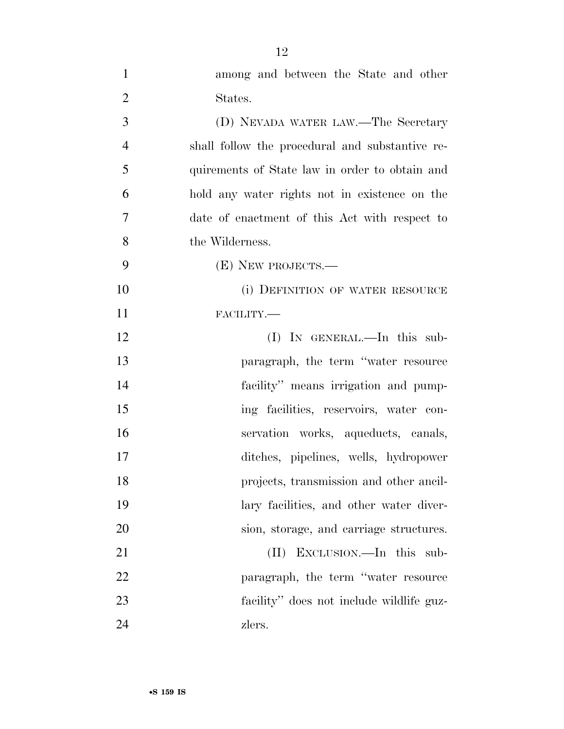| $\mathbf{1}$   | among and between the State and other           |
|----------------|-------------------------------------------------|
| $\mathbf{2}$   | States.                                         |
| 3              | (D) NEVADA WATER LAW.—The Secretary             |
| $\overline{4}$ | shall follow the procedural and substantive re- |
| 5              | quirements of State law in order to obtain and  |
| 6              | hold any water rights not in existence on the   |
| $\overline{7}$ | date of enactment of this Act with respect to   |
| 8              | the Wilderness.                                 |
| 9              | (E) NEW PROJECTS.—                              |
| 10             | (i) DEFINITION OF WATER RESOURCE                |
| 11             | FACILITY.-                                      |
| 12             | $(I)$ In GENERAL.—In this sub-                  |
| 13             | paragraph, the term "water resource"            |
| 14             | facility" means irrigation and pump-            |
| 15             | ing facilities, reservoirs, water con-          |
| 16             | servation works, aqueducts, canals,             |
| 17             | ditches, pipelines, wells, hydropower           |
| 18             | projects, transmission and other ancil-         |
| 19             | lary facilities, and other water diver-         |
| 20             | sion, storage, and carriage structures.         |
| 21             | EXCLUSION.—In this sub-<br>(II)                 |
| 22             | paragraph, the term "water resource             |
| 23             | facility" does not include wildlife guz-        |
| 24             | zlers.                                          |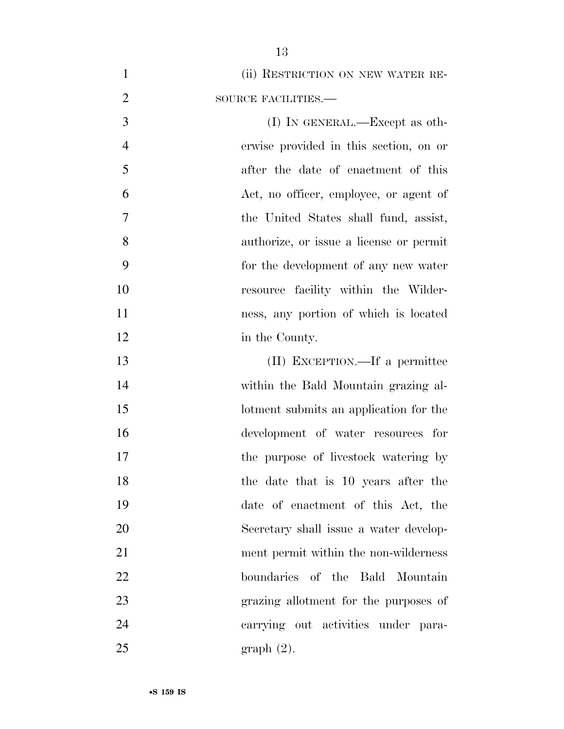1 (ii) RESTRICTION ON NEW WATER RE-2 SOURCE FACILITIES.— 3 (I) IN GENERAL.—Except as oth- erwise provided in this section, on or after the date of enactment of this Act, no officer, employee, or agent of the United States shall fund, assist, authorize, or issue a license or permit for the development of any new water resource facility within the Wilder- ness, any portion of which is located 12 in the County. (II) EXCEPTION.—If a permittee within the Bald Mountain grazing al- lotment submits an application for the development of water resources for 17 the purpose of livestock watering by the date that is 10 years after the date of enactment of this Act, the Secretary shall issue a water develop- ment permit within the non-wilderness boundaries of the Bald Mountain grazing allotment for the purposes of

 carrying out activities under para-graph (2).

•**S 159 IS**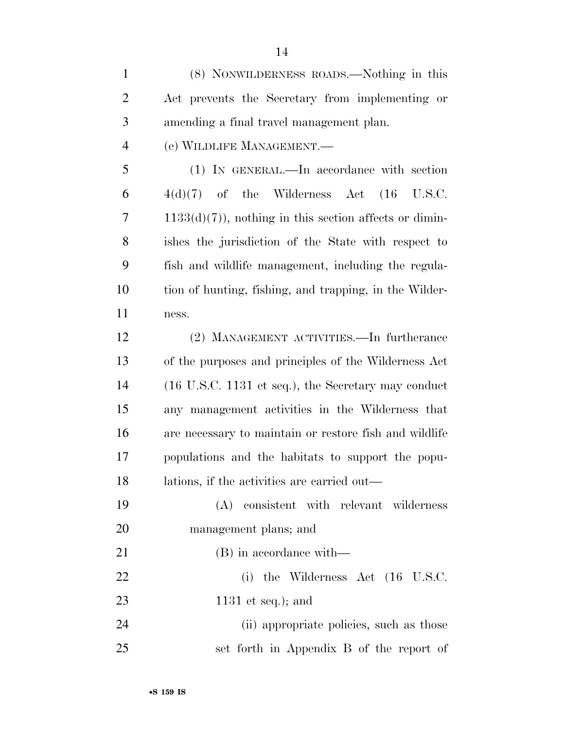(8) NONWILDERNESS ROADS.—Nothing in this Act prevents the Secretary from implementing or amending a final travel management plan. (e) WILDLIFE MANAGEMENT.— (1) IN GENERAL.—In accordance with section  $6 \qquad 4(d)(7) \quad \text{of} \quad \text{the} \quad \text{Wilderness} \quad \text{Act} \quad (16 \quad \text{U.S.C.})$ 7 1133(d)(7)), nothing in this section affects or dimin- ishes the jurisdiction of the State with respect to fish and wildlife management, including the regula- tion of hunting, fishing, and trapping, in the Wilder- ness. (2) MANAGEMENT ACTIVITIES.—In furtherance of the purposes and principles of the Wilderness Act (16 U.S.C. 1131 et seq.), the Secretary may conduct any management activities in the Wilderness that are necessary to maintain or restore fish and wildlife populations and the habitats to support the popu- lations, if the activities are carried out— (A) consistent with relevant wilderness management plans; and (B) in accordance with— 22 (i) the Wilderness Act (16 U.S.C. 1131 et seq.); and 24 (ii) appropriate policies, such as those set forth in Appendix B of the report of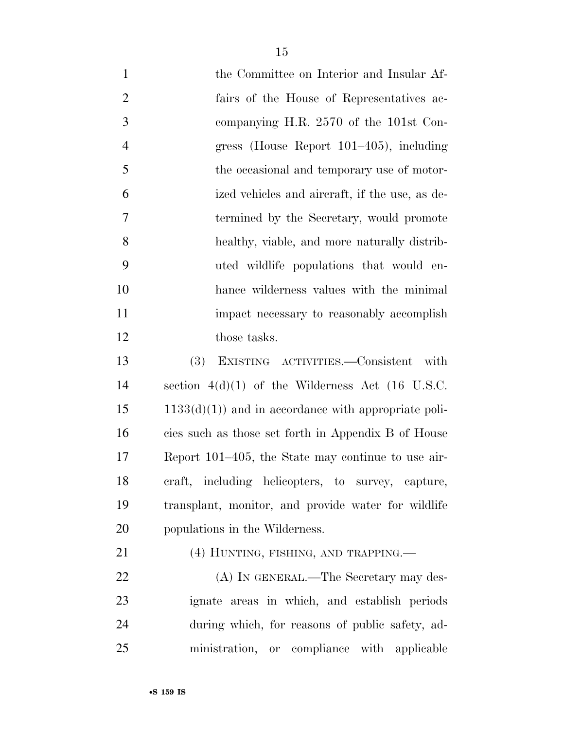- the Committee on Interior and Insular Af- fairs of the House of Representatives ac- companying H.R. 2570 of the 101st Con- gress (House Report 101–405), including 5 the occasional and temporary use of motor- ized vehicles and aircraft, if the use, as de- termined by the Secretary, would promote healthy, viable, and more naturally distrib- uted wildlife populations that would en- hance wilderness values with the minimal impact necessary to reasonably accomplish 12 those tasks. (3) EXISTING ACTIVITIES.—Consistent with section 4(d)(1) of the Wilderness Act (16 U.S.C.  $15 \qquad 1133(d)(1)$  and in accordance with appropriate poli-
- cies such as those set forth in Appendix B of House Report 101–405, the State may continue to use air- craft, including helicopters, to survey, capture, transplant, monitor, and provide water for wildlife populations in the Wilderness.
- 21 (4) HUNTING, FISHING, AND TRAPPING.—

22 (A) IN GENERAL.—The Secretary may des- ignate areas in which, and establish periods during which, for reasons of public safety, ad-ministration, or compliance with applicable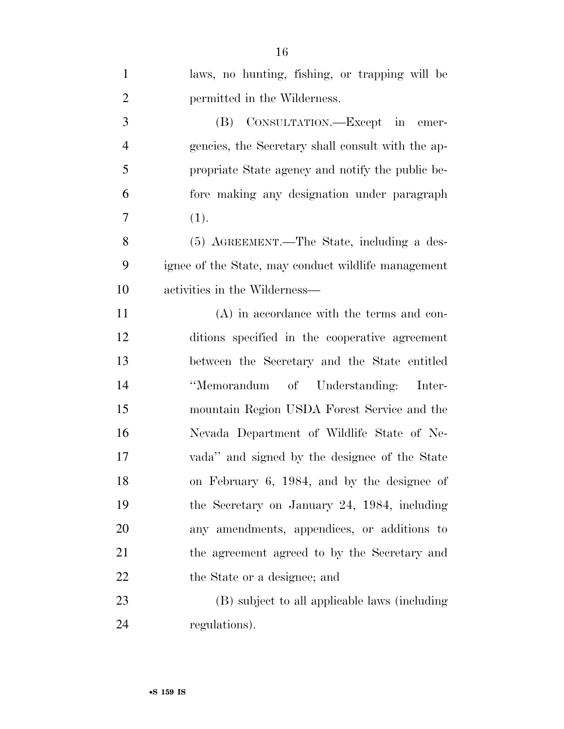| $\mathbf{1}$   | laws, no hunting, fishing, or trapping will be      |
|----------------|-----------------------------------------------------|
| $\overline{2}$ | permitted in the Wilderness.                        |
| 3              | (B) CONSULTATION.—Except in emer-                   |
| $\overline{4}$ | gencies, the Secretary shall consult with the ap-   |
| 5              | propriate State agency and notify the public be-    |
| 6              | fore making any designation under paragraph         |
| 7              | (1).                                                |
| 8              | (5) AGREEMENT.—The State, including a des-          |
| 9              | ignee of the State, may conduct wildlife management |
| 10             | activities in the Wilderness—                       |
| 11             | $(A)$ in accordance with the terms and con-         |
| 12             | ditions specified in the cooperative agreement      |
| 13             | between the Secretary and the State entitled        |
| 14             | "Memorandum of Understanding: Inter-                |
| 15             | mountain Region USDA Forest Service and the         |
| 16             | Nevada Department of Wildlife State of Ne-          |
| 17             | vada" and signed by the designee of the State       |
| 18             | on February 6, 1984, and by the designee of         |
| 19             | the Secretary on January 24, 1984, including        |
| 20             | any amendments, appendices, or additions to         |
| 21             | the agreement agreed to by the Secretary and        |
| 22             | the State or a designee; and                        |
| 23             | (B) subject to all applicable laws (including       |
| 24             | regulations).                                       |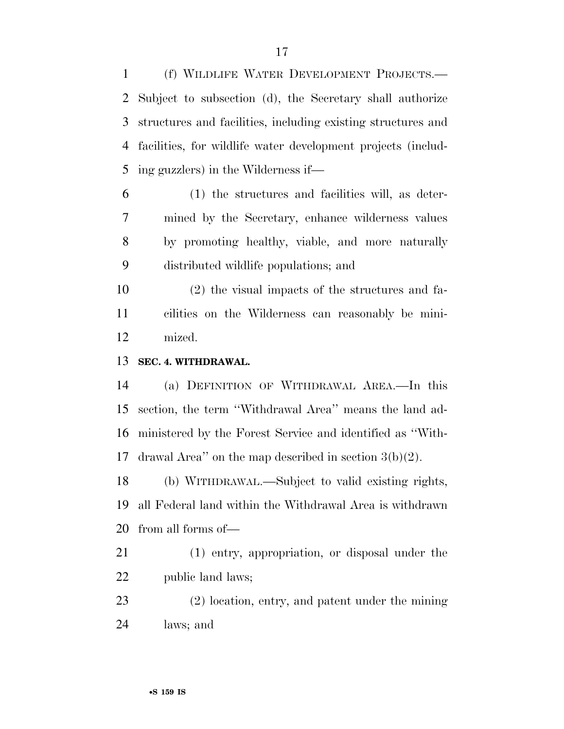(f) WILDLIFE WATER DEVELOPMENT PROJECTS.— Subject to subsection (d), the Secretary shall authorize structures and facilities, including existing structures and facilities, for wildlife water development projects (includ-ing guzzlers) in the Wilderness if—

 (1) the structures and facilities will, as deter- mined by the Secretary, enhance wilderness values by promoting healthy, viable, and more naturally distributed wildlife populations; and

 (2) the visual impacts of the structures and fa- cilities on the Wilderness can reasonably be mini-mized.

**SEC. 4. WITHDRAWAL.** 

 (a) DEFINITION OF WITHDRAWAL AREA.—In this section, the term ''Withdrawal Area'' means the land ad- ministered by the Forest Service and identified as ''With-drawal Area'' on the map described in section 3(b)(2).

 (b) WITHDRAWAL.—Subject to valid existing rights, all Federal land within the Withdrawal Area is withdrawn from all forms of—

 (1) entry, appropriation, or disposal under the public land laws;

 (2) location, entry, and patent under the mining laws; and